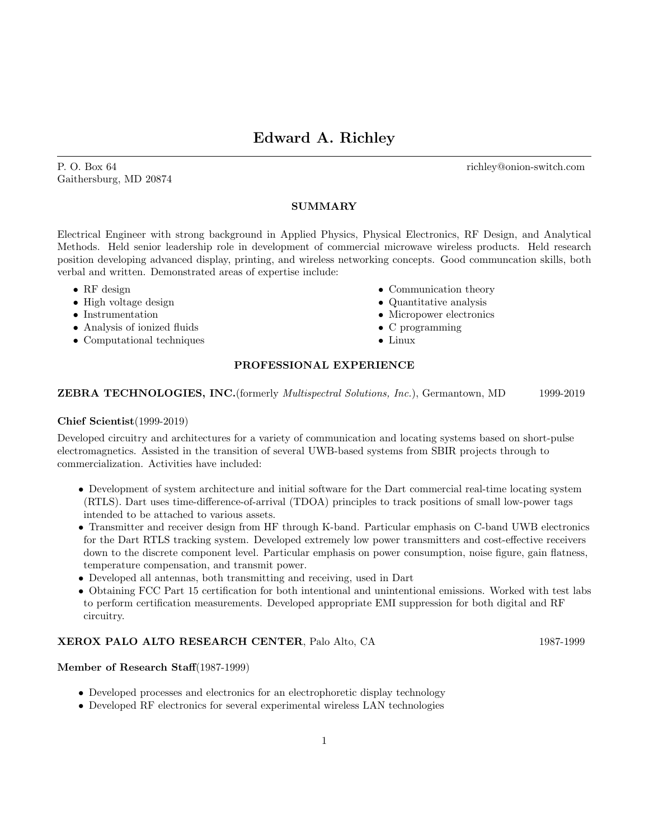# Edward A. Richley

P. O. Box 64 richley@onion-switch.com Gaithersburg, MD 20874

## SUMMARY

Electrical Engineer with strong background in Applied Physics, Physical Electronics, RF Design, and Analytical Methods. Held senior leadership role in development of commercial microwave wireless products. Held research position developing advanced display, printing, and wireless networking concepts. Good communcation skills, both verbal and written. Demonstrated areas of expertise include:

- RF design
- High voltage design
- Instrumentation
- Analysis of ionized fluids
- Computational techniques
- Communication theory
- Quantitative analysis
- Micropower electronics
- C programming
- Linux

## PROFESSIONAL EXPERIENCE

### ZEBRA TECHNOLOGIES, INC.(formerly Multispectral Solutions, Inc.), Germantown, MD 1999-2019

### Chief Scientist(1999-2019)

Developed circuitry and architectures for a variety of communication and locating systems based on short-pulse electromagnetics. Assisted in the transition of several UWB-based systems from SBIR projects through to commercialization. Activities have included:

- Development of system architecture and initial software for the Dart commercial real-time locating system (RTLS). Dart uses time-difference-of-arrival (TDOA) principles to track positions of small low-power tags intended to be attached to various assets.
- Transmitter and receiver design from HF through K-band. Particular emphasis on C-band UWB electronics for the Dart RTLS tracking system. Developed extremely low power transmitters and cost-effective receivers down to the discrete component level. Particular emphasis on power consumption, noise figure, gain flatness, temperature compensation, and transmit power.
- Developed all antennas, both transmitting and receiving, used in Dart
- Obtaining FCC Part 15 certification for both intentional and unintentional emissions. Worked with test labs to perform certification measurements. Developed appropriate EMI suppression for both digital and RF circuitry.

## XEROX PALO ALTO RESEARCH CENTER, Palo Alto, CA 1987-1999

### Member of Research Staff(1987-1999)

- Developed processes and electronics for an electrophoretic display technology
- Developed RF electronics for several experimental wireless LAN technologies
	- 1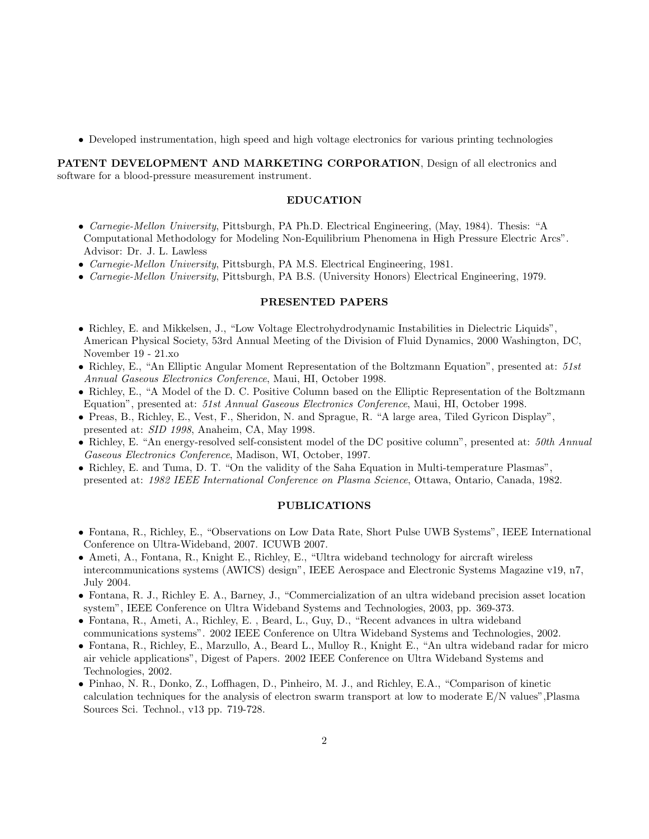• Developed instrumentation, high speed and high voltage electronics for various printing technologies

PATENT DEVELOPMENT AND MARKETING CORPORATION, Design of all electronics and software for a blood-pressure measurement instrument.

### EDUCATION

- Carnegie-Mellon University, Pittsburgh, PA Ph.D. Electrical Engineering, (May, 1984). Thesis: "A Computational Methodology for Modeling Non-Equilibrium Phenomena in High Pressure Electric Arcs". Advisor: Dr. J. L. Lawless
- Carnegie-Mellon University, Pittsburgh, PA M.S. Electrical Engineering, 1981.
- Carnegie-Mellon University, Pittsburgh, PA B.S. (University Honors) Electrical Engineering, 1979.

#### PRESENTED PAPERS

- Richley, E. and Mikkelsen, J., "Low Voltage Electrohydrodynamic Instabilities in Dielectric Liquids", American Physical Society, 53rd Annual Meeting of the Division of Fluid Dynamics, 2000 Washington, DC, November 19 - 21.xo
- Richley, E., "An Elliptic Angular Moment Representation of the Boltzmann Equation", presented at: 51st Annual Gaseous Electronics Conference, Maui, HI, October 1998.
- Richley, E., "A Model of the D. C. Positive Column based on the Elliptic Representation of the Boltzmann Equation", presented at: 51st Annual Gaseous Electronics Conference, Maui, HI, October 1998.
- Preas, B., Richley, E., Vest, F., Sheridon, N. and Sprague, R. "A large area, Tiled Gyricon Display", presented at: SID 1998, Anaheim, CA, May 1998.
- Richley, E. "An energy-resolved self-consistent model of the DC positive column", presented at: 50th Annual Gaseous Electronics Conference, Madison, WI, October, 1997.
- Richley, E. and Tuma, D. T. "On the validity of the Saha Equation in Multi-temperature Plasmas", presented at: 1982 IEEE International Conference on Plasma Science, Ottawa, Ontario, Canada, 1982.

#### PUBLICATIONS

- Fontana, R., Richley, E., "Observations on Low Data Rate, Short Pulse UWB Systems", IEEE International Conference on Ultra-Wideband, 2007. ICUWB 2007.
- Ameti, A., Fontana, R., Knight E., Richley, E., "Ultra wideband technology for aircraft wireless intercommunications systems (AWICS) design", IEEE Aerospace and Electronic Systems Magazine v19, n7, July 2004.
- Fontana, R. J., Richley E. A., Barney, J., "Commercialization of an ultra wideband precision asset location system", IEEE Conference on Ultra Wideband Systems and Technologies, 2003, pp. 369-373.
- Fontana, R., Ameti, A., Richley, E. , Beard, L., Guy, D., "Recent advances in ultra wideband communications systems". 2002 IEEE Conference on Ultra Wideband Systems and Technologies, 2002.
- Fontana, R., Richley, E., Marzullo, A., Beard L., Mulloy R., Knight E., "An ultra wideband radar for micro air vehicle applications", Digest of Papers. 2002 IEEE Conference on Ultra Wideband Systems and Technologies, 2002.
- Pinhao, N. R., Donko, Z., Loffhagen, D., Pinheiro, M. J., and Richley, E.A., "Comparison of kinetic calculation techniques for the analysis of electron swarm transport at low to moderate E/N values",Plasma Sources Sci. Technol., v13 pp. 719-728.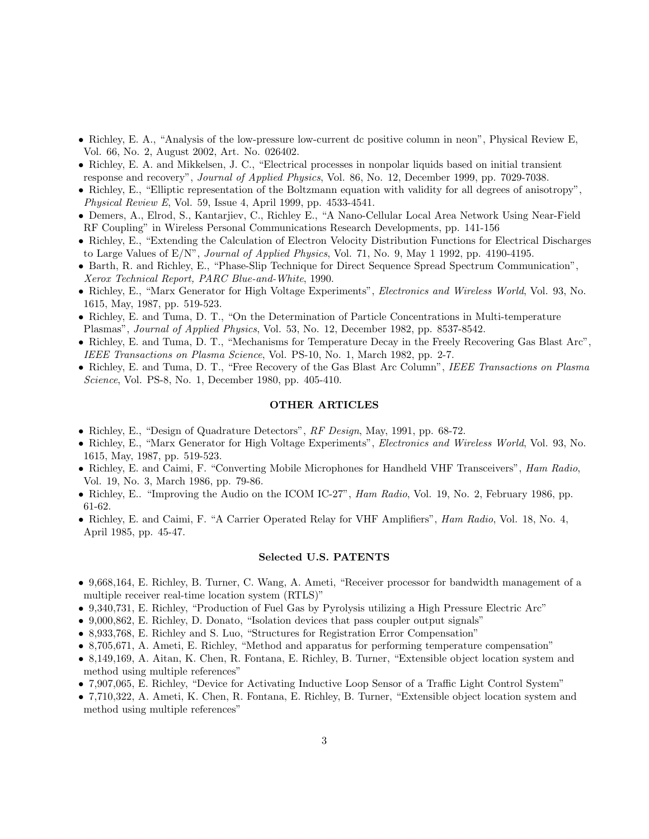- Richley, E. A., "Analysis of the low-pressure low-current dc positive column in neon", Physical Review E, Vol. 66, No. 2, August 2002, Art. No. 026402.
- Richley, E. A. and Mikkelsen, J. C., "Electrical processes in nonpolar liquids based on initial transient response and recovery", Journal of Applied Physics, Vol. 86, No. 12, December 1999, pp. 7029-7038.
- Richley, E., "Elliptic representation of the Boltzmann equation with validity for all degrees of anisotropy", Physical Review E, Vol. 59, Issue 4, April 1999, pp. 4533-4541.
- Demers, A., Elrod, S., Kantarjiev, C., Richley E., "A Nano-Cellular Local Area Network Using Near-Field RF Coupling" in Wireless Personal Communications Research Developments, pp. 141-156
- Richley, E., "Extending the Calculation of Electron Velocity Distribution Functions for Electrical Discharges to Large Values of  $E/N$ ", *Journal of Applied Physics*, Vol. 71, No. 9, May 1 1992, pp. 4190-4195.
- Barth, R. and Richley, E., "Phase-Slip Technique for Direct Sequence Spread Spectrum Communication", Xerox Technical Report, PARC Blue-and-White, 1990.
- Richley, E., "Marx Generator for High Voltage Experiments", Electronics and Wireless World, Vol. 93, No. 1615, May, 1987, pp. 519-523.
- Richley, E. and Tuma, D. T., "On the Determination of Particle Concentrations in Multi-temperature Plasmas", Journal of Applied Physics, Vol. 53, No. 12, December 1982, pp. 8537-8542.
- Richley, E. and Tuma, D. T., "Mechanisms for Temperature Decay in the Freely Recovering Gas Blast Arc", IEEE Transactions on Plasma Science, Vol. PS-10, No. 1, March 1982, pp. 2-7.
- Richley, E. and Tuma, D. T., "Free Recovery of the Gas Blast Arc Column", IEEE Transactions on Plasma Science, Vol. PS-8, No. 1, December 1980, pp. 405-410.

#### OTHER ARTICLES

- Richley, E., "Design of Quadrature Detectors", RF Design, May, 1991, pp. 68-72.
- Richley, E., "Marx Generator for High Voltage Experiments", Electronics and Wireless World, Vol. 93, No. 1615, May, 1987, pp. 519-523.
- Richley, E. and Caimi, F. "Converting Mobile Microphones for Handheld VHF Transceivers", Ham Radio, Vol. 19, No. 3, March 1986, pp. 79-86.
- Richley, E.. "Improving the Audio on the ICOM IC-27", *Ham Radio*, Vol. 19, No. 2, February 1986, pp. 61-62.
- Richley, E. and Caimi, F. "A Carrier Operated Relay for VHF Amplifiers", Ham Radio, Vol. 18, No. 4, April 1985, pp. 45-47.

#### Selected U.S. PATENTS

- 9,668,164, E. Richley, B. Turner, C. Wang, A. Ameti, "Receiver processor for bandwidth management of a multiple receiver real-time location system (RTLS)"
- 9,340,731, E. Richley, "Production of Fuel Gas by Pyrolysis utilizing a High Pressure Electric Arc"
- 9,000,862, E. Richley, D. Donato, "Isolation devices that pass coupler output signals"
- 8,933,768, E. Richley and S. Luo, "Structures for Registration Error Compensation"
- 8,705,671, A. Ameti, E. Richley, "Method and apparatus for performing temperature compensation"
- 8,149,169, A. Aitan, K. Chen, R. Fontana, E. Richley, B. Turner, "Extensible object location system and method using multiple references"
- 7,907,065, E. Richley, "Device for Activating Inductive Loop Sensor of a Traffic Light Control System"
- 7,710,322, A. Ameti, K. Chen, R. Fontana, E. Richley, B. Turner, "Extensible object location system and method using multiple references"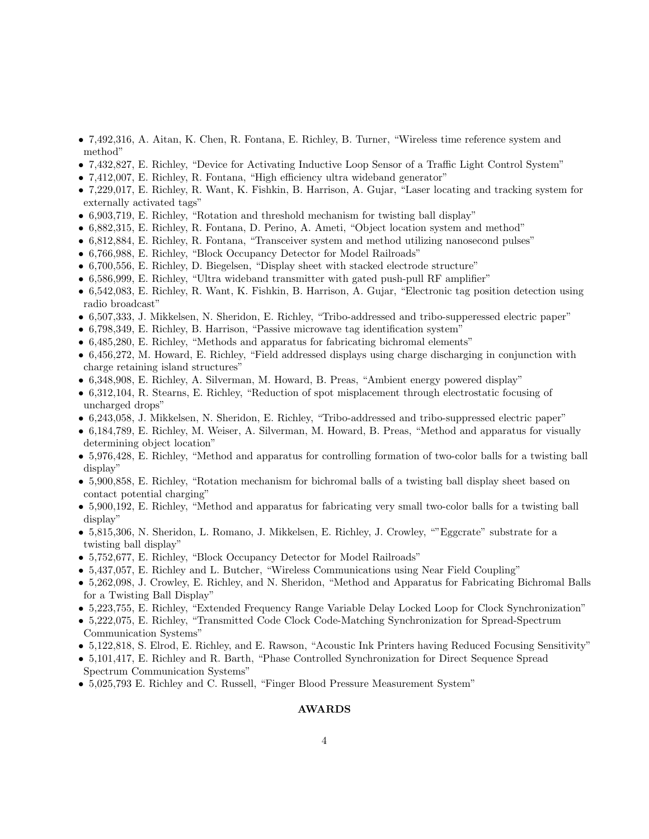- 7,492,316, A. Aitan, K. Chen, R. Fontana, E. Richley, B. Turner, "Wireless time reference system and method"
- 7,432,827, E. Richley, "Device for Activating Inductive Loop Sensor of a Traffic Light Control System"
- 7,412,007, E. Richley, R. Fontana, "High efficiency ultra wideband generator"
- 7,229,017, E. Richley, R. Want, K. Fishkin, B. Harrison, A. Gujar, "Laser locating and tracking system for externally activated tags"
- 6,903,719, E. Richley, "Rotation and threshold mechanism for twisting ball display"
- 6,882,315, E. Richley, R. Fontana, D. Perino, A. Ameti, "Object location system and method"
- 6,812,884, E. Richley, R. Fontana, "Transceiver system and method utilizing nanosecond pulses"
- 6,766,988, E. Richley, "Block Occupancy Detector for Model Railroads"
- 6,700,556, E. Richley, D. Biegelsen, "Display sheet with stacked electrode structure"
- 6,586,999, E. Richley, "Ultra wideband transmitter with gated push-pull RF amplifier"
- 6,542,083, E. Richley, R. Want, K. Fishkin, B. Harrison, A. Gujar, "Electronic tag position detection using radio broadcast"
- 6,507,333, J. Mikkelsen, N. Sheridon, E. Richley, "Tribo-addressed and tribo-supperessed electric paper"
- 6,798,349, E. Richley, B. Harrison, "Passive microwave tag identification system"
- 6,485,280, E. Richley, "Methods and apparatus for fabricating bichromal elements"
- 6,456,272, M. Howard, E. Richley, "Field addressed displays using charge discharging in conjunction with charge retaining island structures"
- 6,348,908, E. Richley, A. Silverman, M. Howard, B. Preas, "Ambient energy powered display"
- 6,312,104, R. Stearns, E. Richley, "Reduction of spot misplacement through electrostatic focusing of uncharged drops"
- 6,243,058, J. Mikkelsen, N. Sheridon, E. Richley, "Tribo-addressed and tribo-suppressed electric paper"
- 6,184,789, E. Richley, M. Weiser, A. Silverman, M. Howard, B. Preas, "Method and apparatus for visually determining object location"
- 5,976,428, E. Richley, "Method and apparatus for controlling formation of two-color balls for a twisting ball display"
- 5,900,858, E. Richley, "Rotation mechanism for bichromal balls of a twisting ball display sheet based on contact potential charging"
- 5,900,192, E. Richley, "Method and apparatus for fabricating very small two-color balls for a twisting ball display"
- 5,815,306, N. Sheridon, L. Romano, J. Mikkelsen, E. Richley, J. Crowley, "Eggcrate" substrate for a twisting ball display"
- 5,752,677, E. Richley, "Block Occupancy Detector for Model Railroads"
- 5,437,057, E. Richley and L. Butcher, "Wireless Communications using Near Field Coupling"
- 5,262,098, J. Crowley, E. Richley, and N. Sheridon, "Method and Apparatus for Fabricating Bichromal Balls for a Twisting Ball Display"
- 5,223,755, E. Richley, "Extended Frequency Range Variable Delay Locked Loop for Clock Synchronization"
- 5,222,075, E. Richley, "Transmitted Code Clock Code-Matching Synchronization for Spread-Spectrum Communication Systems"
- 5,122,818, S. Elrod, E. Richley, and E. Rawson, "Acoustic Ink Printers having Reduced Focusing Sensitivity"
- 5,101,417, E. Richley and R. Barth, "Phase Controlled Synchronization for Direct Sequence Spread Spectrum Communication Systems"
- 5,025,793 E. Richley and C. Russell, "Finger Blood Pressure Measurement System"

### AWARDS